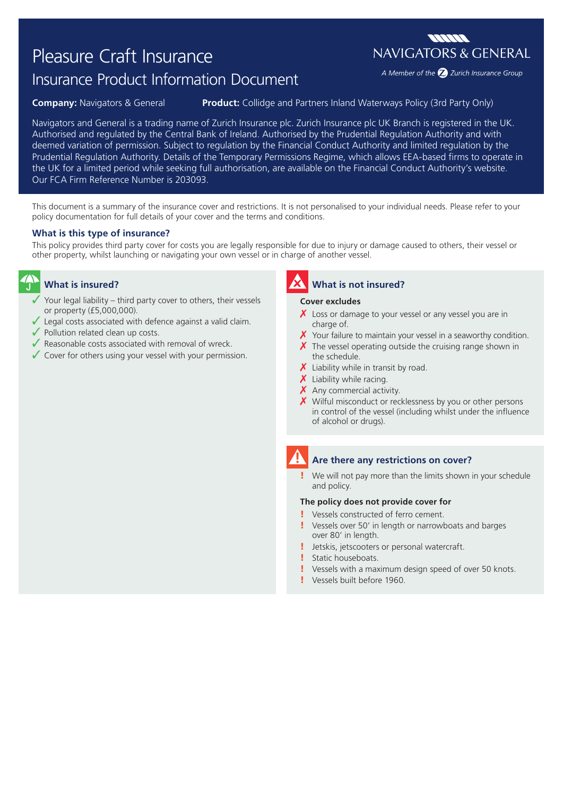# Pleasure Craft Insurance

# Insurance Product Information Document

**Company:** Navigators & General **Product:** Collidge and Partners Inland Waterways Policy (3rd Party Only)

Navigators and General is a trading name of Zurich Insurance plc. Zurich Insurance plc UK Branch is registered in the UK. Authorised and regulated by the Central Bank of Ireland. Authorised by the Prudential Regulation Authority and with deemed variation of permission. Subject to regulation by the Financial Conduct Authority and limited regulation by the Prudential Regulation Authority. Details of the Temporary Permissions Regime, which allows EEA-based firms to operate in the UK for a limited period while seeking full authorisation, are available on the Financial Conduct Authority's website. Our FCA Firm Reference Number is 203093.

This document is a summary of the insurance cover and restrictions. It is not personalised to your individual needs. Please refer to your policy documentation for full details of your cover and the terms and conditions.

### **What is this type of insurance?**

This policy provides third party cover for costs you are legally responsible for due to injury or damage caused to others, their vessel or other property, whilst launching or navigating your own vessel or in charge of another vessel.

# **What is insured?**

- $\checkmark$  Your legal liability third party cover to others, their vessels or property (£5,000,000).
- $\sqrt{\ }$  Legal costs associated with defence against a valid claim.
- $\sqrt{\ }$  Pollution related clean up costs.
- $\sqrt{\ }$  Reasonable costs associated with removal of wreck.
- $\checkmark$  Cover for others using your vessel with your permission.

## **What is not insured?**

#### **Cover excludes**

- $\chi$  Loss or damage to your vessel or any vessel you are in charge of.
- $\chi$  Your failure to maintain your vessel in a seaworthy condition.
- $\chi$  The vessel operating outside the cruising range shown in the schedule.
- $\chi$  Liability while in transit by road.
- $\boldsymbol{X}$  Liability while racing.
- $\boldsymbol{X}$  Any commercial activity.
- X Wilful misconduct or recklessness by you or other persons in control of the vessel (including whilst under the influence of alcohol or drugs).

# **Are there any restrictions on cover?**

We will not pay more than the limits shown in your schedule and policy.

#### **The policy does not provide cover for**

- ! Vessels constructed of ferro cement.
- ! Vessels over 50' in length or narrowboats and barges over 80' in length.
- ! Jetskis, jetscooters or personal watercraft.
- ! Static houseboats.
- ! Vessels with a maximum design speed of over 50 knots.
- ! Vessels built before 1960.



A Member of the 2 Zurich Insurance Group